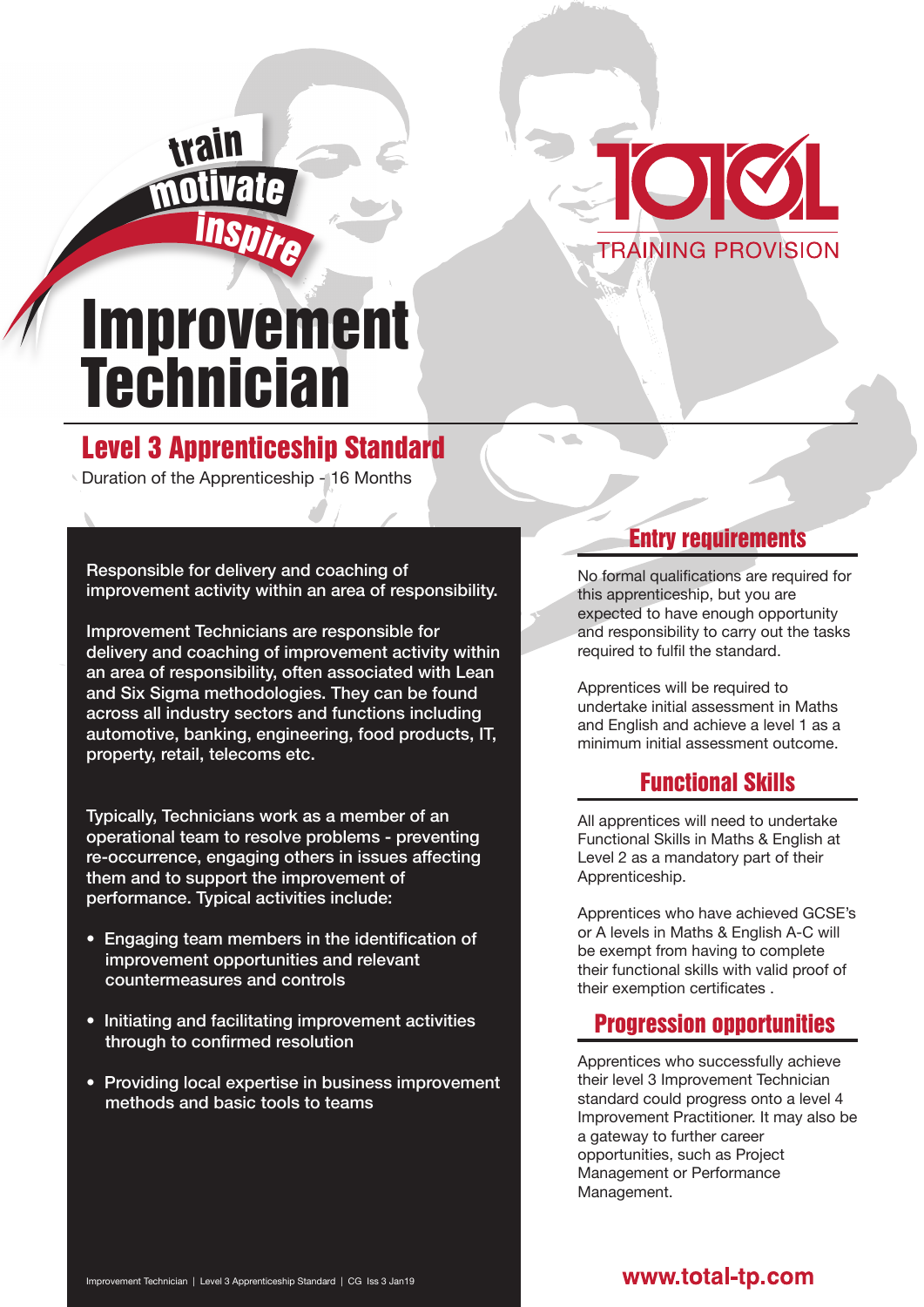

# Improvement **Technician**

<sup>i</sup>nspir<sup>e</sup>

m

trail

## Level 3 Apprenticeship Standard

Duration of the Apprenticeship - 16 Months

Responsible for delivery and coaching of improvement activity within an area of responsibility.

Improvement Technicians are responsible for delivery and coaching of improvement activity within an area of responsibility, often associated with Lean and Six Sigma methodologies. They can be found across all industry sectors and functions including automotive, banking, engineering, food products, IT, property, retail, telecoms etc.

Typically, Technicians work as a member of an operational team to resolve problems - preventing re-occurrence, engaging others in issues affecting them and to support the improvement of performance. Typical activities include:

- Engaging team members in the identification of improvement opportunities and relevant countermeasures and controls
- Initiating and facilitating improvement activities through to confirmed resolution
- Providing local expertise in business improvement methods and basic tools to teams

## Entry requirements

No formal qualifications are required for this apprenticeship, but you are expected to have enough opportunity and responsibility to carry out the tasks required to fulfil the standard.

Apprentices will be required to undertake initial assessment in Maths and English and achieve a level 1 as a minimum initial assessment outcome.

## Functional Skills

All apprentices will need to undertake Functional Skills in Maths & English at Level 2 as a mandatory part of their Apprenticeship.

Apprentices who have achieved GCSE's or A levels in Maths & English A-C will be exempt from having to complete their functional skills with valid proof of their exemption certificates .

## Progression opportunities

Apprentices who successfully achieve their level 3 Improvement Technician standard could progress onto a level 4 Improvement Practitioner. It may also be a gateway to further career opportunities, such as Project Management or Performance Management.

#### www.total-tp.com